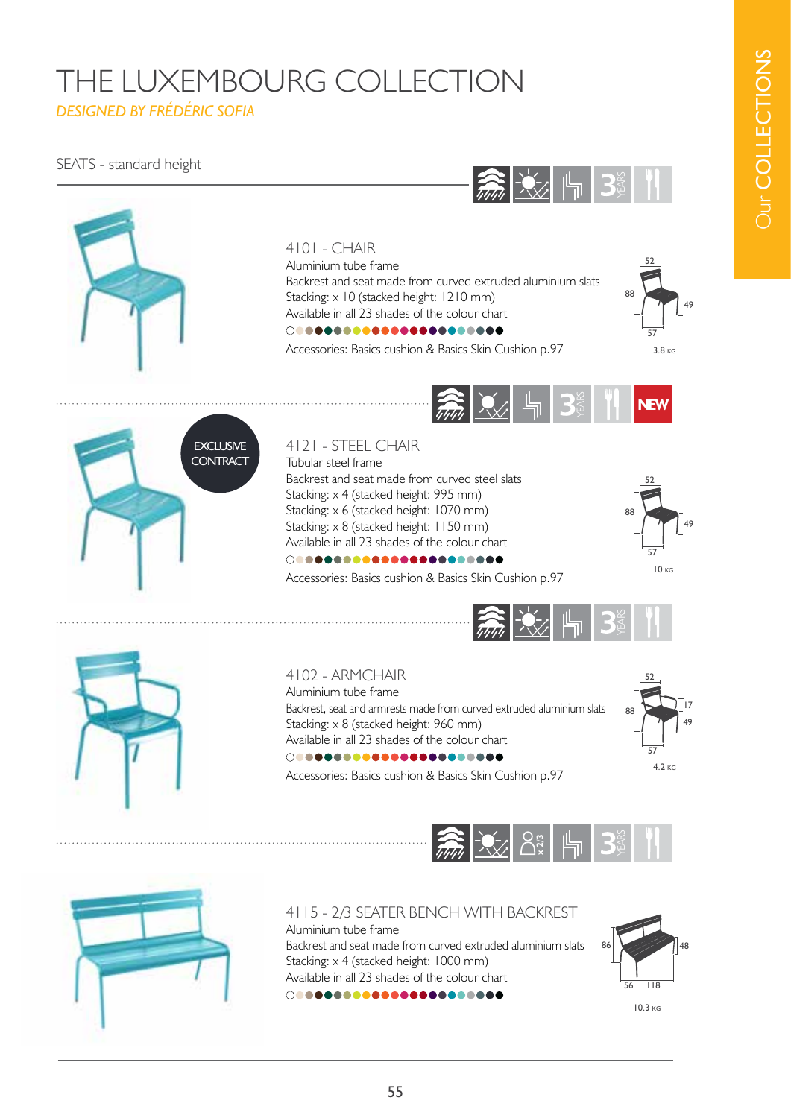## THE LUXEMBOURG COLLECTION *DESIGNED BY FRÉDÉRIC SOFIA*

#### SEATS - standard height



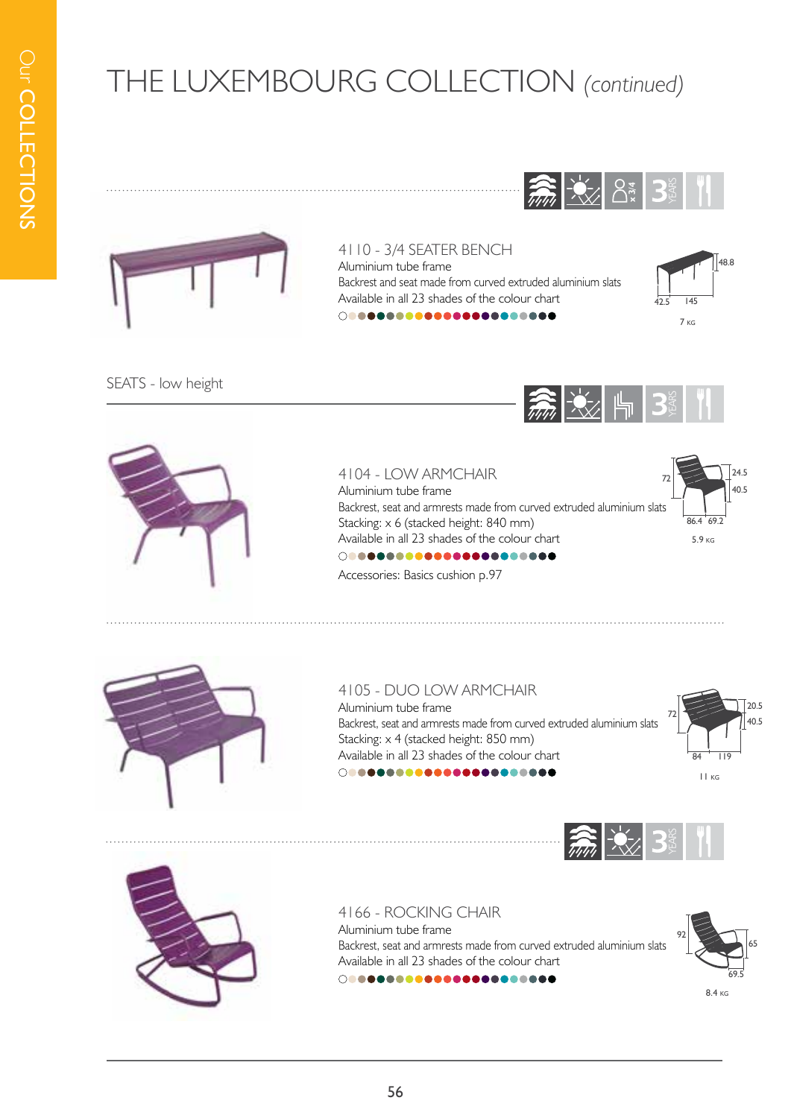



#### 4110 - 3/4 SEATER BENCH

Aluminium tube frame Backrest and seat made from curved extruded aluminium slats Available in all 23 shades of the colour chart 



SEATS - low height



#### 4104 - LOW ARMCHAIR

Aluminium tube frame Backrest, seat and armrests made from curved extruded aluminium slats Stacking: x 6 (stacked height: 840 mm) Available in all 23 shades of the colour chart 



Accessories: Basics cushion p.97



#### 4105 - DUO LOW ARMCHAIR

Aluminium tube frame Backrest, seat and armrests made from curved extruded aluminium slats Stacking: x 4 (stacked height: 850 mm) Available in all 23 shades of the colour chart 







4166 - ROCKING CHAIR Aluminium tube frame Backrest, seat and armrests made from curved extruded aluminium slats Available in all 23 shades of the colour chart 



8.4 kg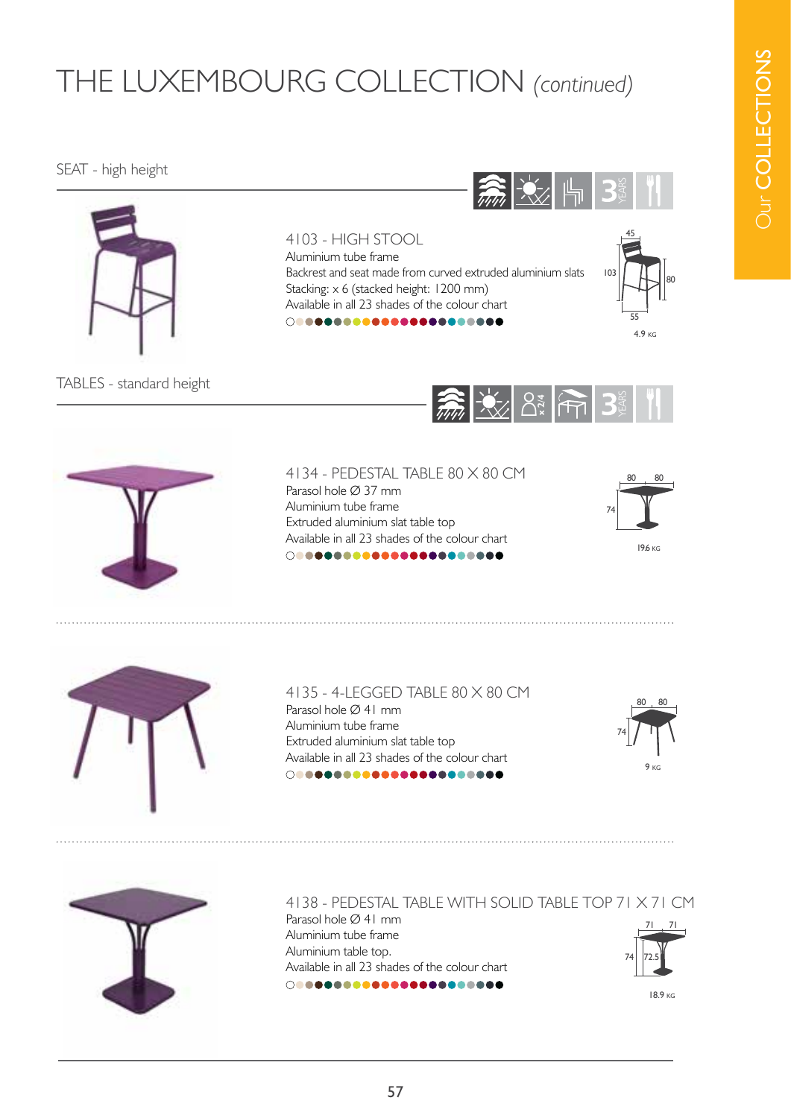# Our COLLECTIONS **Dur COLLECTIONS**

## THE LUXEMBOURG COLLECTION *(continued)*

#### SEAT - high height









18.9 kg





Available in all 23 shades of the colour chart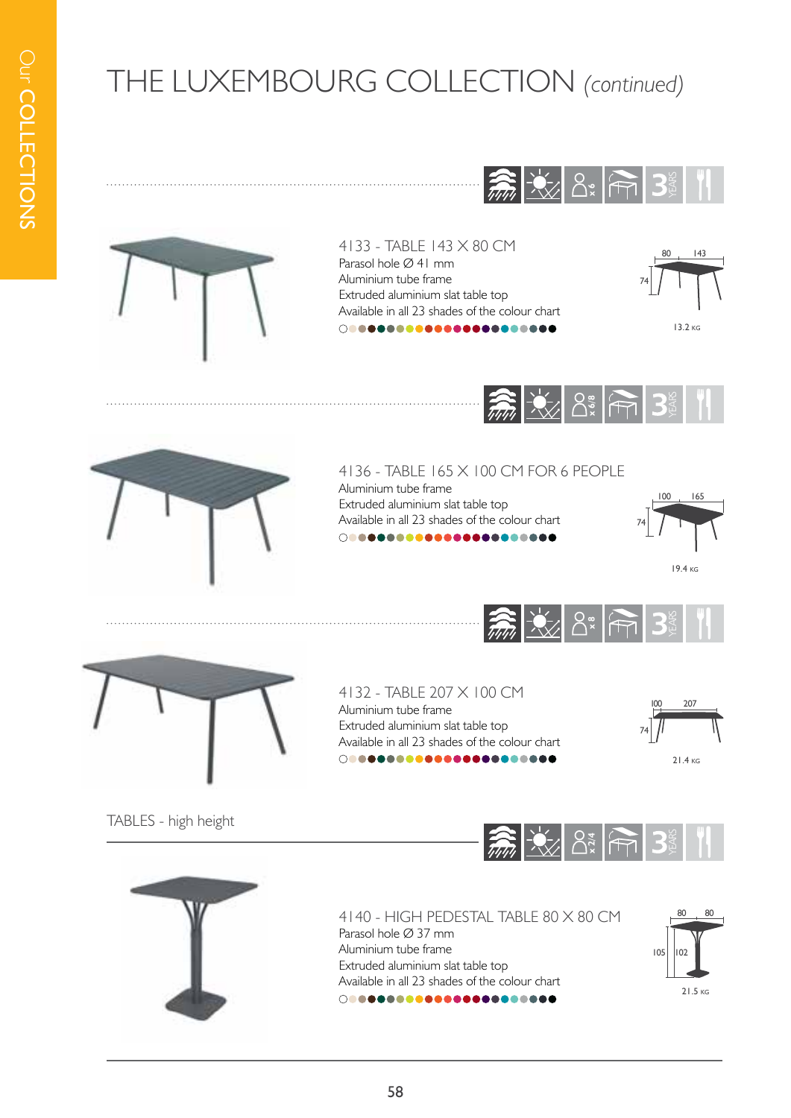



4133 - TABLE 143 X 80 CM Parasol hole Ø 41 mm Aluminium tube frame Extruded aluminium slat table top Available in all 23 shades of the colour chart 







4136 - TABLE 165 X 100 CM FOR 6 PEOPLE Aluminium tube frame

Extruded aluminium slat table top Available in all 23 shades of the colour chart 







4132 - TABLE 207 X 100 CM Aluminium tube frame Extruded aluminium slat table top Available in all 23 shades of the colour chart 



TABLES - high height





4140 - HIGH PEDESTAL TABLE 80 X 80 CM Parasol hole Ø 37 mm Aluminium tube frame Extruded aluminium slat table top Available in all 23 shades of the colour chart 00000000000000000000000

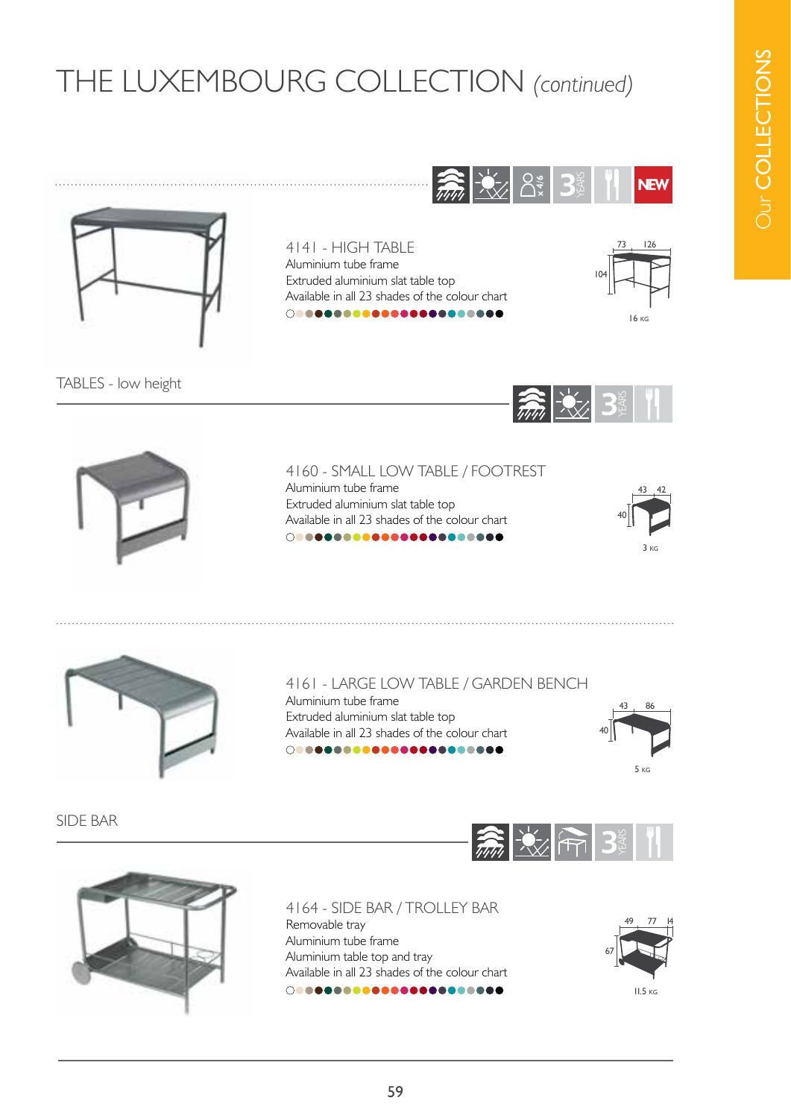